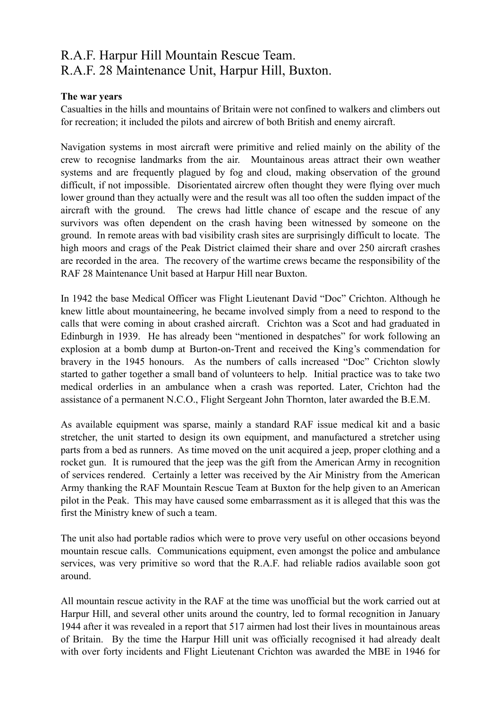## R.A.F. Harpur Hill Mountain Rescue Team. R.A.F. 28 Maintenance Unit, Harpur Hill, Buxton.

## **The war years**

Casualties in the hills and mountains of Britain were not confined to walkers and climbers out for recreation; it included the pilots and aircrew of both British and enemy aircraft.

Navigation systems in most aircraft were primitive and relied mainly on the ability of the crew to recognise landmarks from the air. Mountainous areas attract their own weather systems and are frequently plagued by fog and cloud, making observation of the ground difficult, if not impossible. Disorientated aircrew often thought they were flying over much lower ground than they actually were and the result was all too often the sudden impact of the aircraft with the ground. The crews had little chance of escape and the rescue of any survivors was often dependent on the crash having been witnessed by someone on the ground. In remote areas with bad visibility crash sites are surprisingly difficult to locate. The high moors and crags of the Peak District claimed their share and over 250 aircraft crashes are recorded in the area. The recovery of the wartime crews became the responsibility of the RAF 28 Maintenance Unit based at Harpur Hill near Buxton.

In 1942 the base Medical Officer was Flight Lieutenant David "Doc" Crichton. Although he knew little about mountaineering, he became involved simply from a need to respond to the calls that were coming in about crashed aircraft. Crichton was a Scot and had graduated in Edinburgh in 1939. He has already been "mentioned in despatches" for work following an explosion at a bomb dump at Burton-on-Trent and received the King's commendation for bravery in the 1945 honours. As the numbers of calls increased "Doc" Crichton slowly started to gather together a small band of volunteers to help. Initial practice was to take two medical orderlies in an ambulance when a crash was reported. Later, Crichton had the assistance of a permanent N.C.O., Flight Sergeant John Thornton, later awarded the B.E.M.

As available equipment was sparse, mainly a standard RAF issue medical kit and a basic stretcher, the unit started to design its own equipment, and manufactured a stretcher using parts from a bed as runners. As time moved on the unit acquired a jeep, proper clothing and a rocket gun. It is rumoured that the jeep was the gift from the American Army in recognition of services rendered. Certainly a letter was received by the Air Ministry from the American Army thanking the RAF Mountain Rescue Team at Buxton for the help given to an American pilot in the Peak. This may have caused some embarrassment as it is alleged that this was the first the Ministry knew of such a team.

The unit also had portable radios which were to prove very useful on other occasions beyond mountain rescue calls. Communications equipment, even amongst the police and ambulance services, was very primitive so word that the R.A.F. had reliable radios available soon got around.

All mountain rescue activity in the RAF at the time was unofficial but the work carried out at Harpur Hill, and several other units around the country, led to formal recognition in January 1944 after it was revealed in a report that 517 airmen had lost their lives in mountainous areas of Britain. By the time the Harpur Hill unit was officially recognised it had already dealt with over forty incidents and Flight Lieutenant Crichton was awarded the MBE in 1946 for